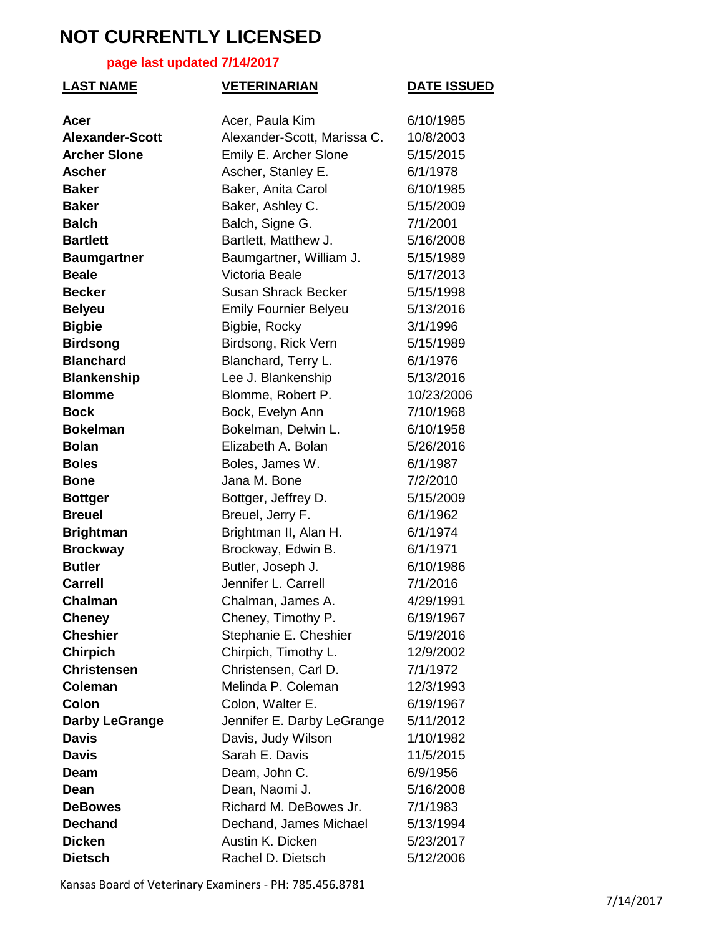#### **page last updated 7/14/2017**

| <b>LAST NAME</b>       | <b>VETERINARIAN</b>          | <b>DATE ISSUED</b> |
|------------------------|------------------------------|--------------------|
| Acer                   | Acer, Paula Kim              | 6/10/1985          |
| <b>Alexander-Scott</b> | Alexander-Scott, Marissa C.  | 10/8/2003          |
| <b>Archer Slone</b>    | Emily E. Archer Slone        | 5/15/2015          |
| <b>Ascher</b>          | Ascher, Stanley E.           | 6/1/1978           |
| <b>Baker</b>           | Baker, Anita Carol           | 6/10/1985          |
| <b>Baker</b>           | Baker, Ashley C.             | 5/15/2009          |
| <b>Balch</b>           | Balch, Signe G.              | 7/1/2001           |
| <b>Bartlett</b>        | Bartlett, Matthew J.         | 5/16/2008          |
| <b>Baumgartner</b>     | Baumgartner, William J.      | 5/15/1989          |
| <b>Beale</b>           | Victoria Beale               | 5/17/2013          |
| <b>Becker</b>          | <b>Susan Shrack Becker</b>   | 5/15/1998          |
| <b>Belyeu</b>          | <b>Emily Fournier Belyeu</b> | 5/13/2016          |
| <b>Bigbie</b>          | Bigbie, Rocky                | 3/1/1996           |
| <b>Birdsong</b>        | Birdsong, Rick Vern          | 5/15/1989          |
| <b>Blanchard</b>       | Blanchard, Terry L.          | 6/1/1976           |
| <b>Blankenship</b>     | Lee J. Blankenship           | 5/13/2016          |
| <b>Blomme</b>          | Blomme, Robert P.            | 10/23/2006         |
| <b>Bock</b>            | Bock, Evelyn Ann             | 7/10/1968          |
| <b>Bokelman</b>        | Bokelman, Delwin L.          | 6/10/1958          |
| <b>Bolan</b>           | Elizabeth A. Bolan           | 5/26/2016          |
| <b>Boles</b>           | Boles, James W.              | 6/1/1987           |
| <b>Bone</b>            | Jana M. Bone                 | 7/2/2010           |
| <b>Bottger</b>         | Bottger, Jeffrey D.          | 5/15/2009          |
| <b>Breuel</b>          | Breuel, Jerry F.             | 6/1/1962           |
| <b>Brightman</b>       | Brightman II, Alan H.        | 6/1/1974           |
| <b>Brockway</b>        | Brockway, Edwin B.           | 6/1/1971           |
| <b>Butler</b>          | Butler, Joseph J.            | 6/10/1986          |
| <b>Carrell</b>         | Jennifer L. Carrell          | 7/1/2016           |
| Chalman                | Chalman, James A.            | 4/29/1991          |
| <b>Cheney</b>          | Cheney, Timothy P.           | 6/19/1967          |
| <b>Cheshier</b>        | Stephanie E. Cheshier        | 5/19/2016          |
| <b>Chirpich</b>        | Chirpich, Timothy L.         | 12/9/2002          |
| <b>Christensen</b>     | Christensen, Carl D.         | 7/1/1972           |
| <b>Coleman</b>         | Melinda P. Coleman           | 12/3/1993          |
| Colon                  | Colon, Walter E.             | 6/19/1967          |
| <b>Darby LeGrange</b>  | Jennifer E. Darby LeGrange   | 5/11/2012          |
| <b>Davis</b>           | Davis, Judy Wilson           | 1/10/1982          |
| <b>Davis</b>           | Sarah E. Davis               | 11/5/2015          |
| Deam                   | Deam, John C.                | 6/9/1956           |
| Dean                   | Dean, Naomi J.               | 5/16/2008          |
| <b>DeBowes</b>         | Richard M. DeBowes Jr.       | 7/1/1983           |
| <b>Dechand</b>         | Dechand, James Michael       | 5/13/1994          |
| <b>Dicken</b>          | Austin K. Dicken             | 5/23/2017          |
| <b>Dietsch</b>         | Rachel D. Dietsch            | 5/12/2006          |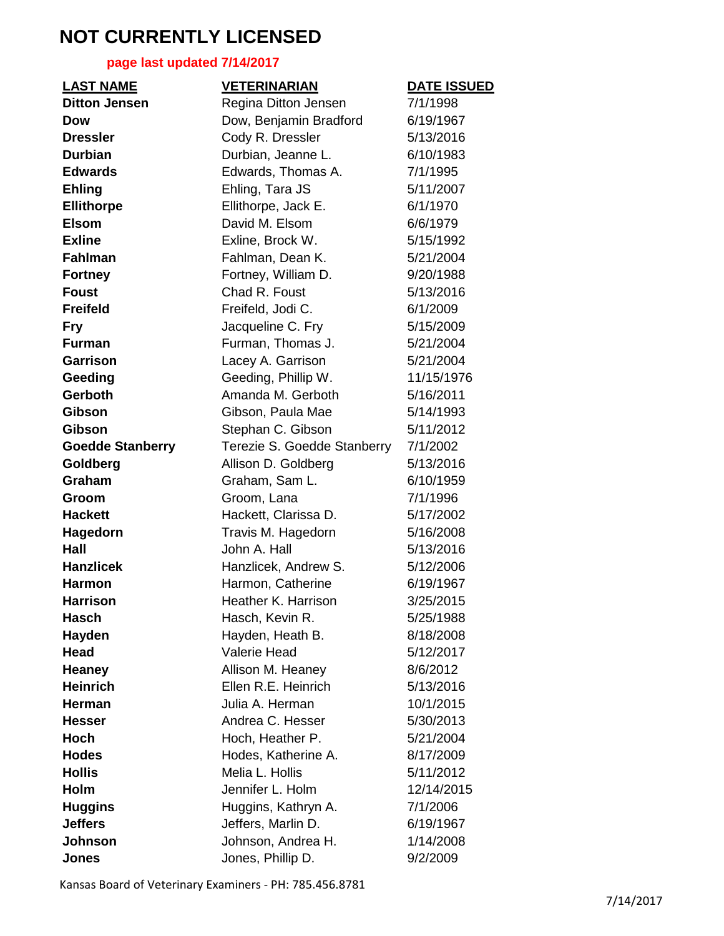#### **page last updated 7/14/2017**

| <b>LAST NAME</b>        | <b>VETERINARIAN</b>         | <b>DATE ISSUED</b> |
|-------------------------|-----------------------------|--------------------|
| <b>Ditton Jensen</b>    | Regina Ditton Jensen        | 7/1/1998           |
| Dow                     | Dow, Benjamin Bradford      | 6/19/1967          |
| <b>Dressler</b>         | Cody R. Dressler            | 5/13/2016          |
| <b>Durbian</b>          | Durbian, Jeanne L.          | 6/10/1983          |
| <b>Edwards</b>          | Edwards, Thomas A.          | 7/1/1995           |
| <b>Ehling</b>           | Ehling, Tara JS             | 5/11/2007          |
| <b>Ellithorpe</b>       | Ellithorpe, Jack E.         | 6/1/1970           |
| <b>Elsom</b>            | David M. Elsom              | 6/6/1979           |
| <b>Exline</b>           | Exline, Brock W.            | 5/15/1992          |
| <b>Fahlman</b>          | Fahlman, Dean K.            | 5/21/2004          |
| <b>Fortney</b>          | Fortney, William D.         | 9/20/1988          |
| <b>Foust</b>            | Chad R. Foust               | 5/13/2016          |
| <b>Freifeld</b>         | Freifeld, Jodi C.           | 6/1/2009           |
| <b>Fry</b>              | Jacqueline C. Fry           | 5/15/2009          |
| <b>Furman</b>           | Furman, Thomas J.           | 5/21/2004          |
| <b>Garrison</b>         | Lacey A. Garrison           | 5/21/2004          |
| Geeding                 | Geeding, Phillip W.         | 11/15/1976         |
| Gerboth                 | Amanda M. Gerboth           | 5/16/2011          |
| <b>Gibson</b>           | Gibson, Paula Mae           | 5/14/1993          |
| <b>Gibson</b>           | Stephan C. Gibson           | 5/11/2012          |
| <b>Goedde Stanberry</b> | Terezie S. Goedde Stanberry | 7/1/2002           |
| Goldberg                | Allison D. Goldberg         | 5/13/2016          |
| Graham                  | Graham, Sam L.              | 6/10/1959          |
| Groom                   | Groom, Lana                 | 7/1/1996           |
| <b>Hackett</b>          | Hackett, Clarissa D.        | 5/17/2002          |
| Hagedorn                | Travis M. Hagedorn          | 5/16/2008          |
| Hall                    | John A. Hall                | 5/13/2016          |
| <b>Hanzlicek</b>        | Hanzlicek, Andrew S.        | 5/12/2006          |
| <b>Harmon</b>           | Harmon, Catherine           | 6/19/1967          |
| <b>Harrison</b>         | Heather K. Harrison         | 3/25/2015          |
| <b>Hasch</b>            | Hasch, Kevin R.             | 5/25/1988          |
| Hayden                  | Hayden, Heath B.            | 8/18/2008          |
| <b>Head</b>             | <b>Valerie Head</b>         | 5/12/2017          |
| <b>Heaney</b>           | Allison M. Heaney           | 8/6/2012           |
| <b>Heinrich</b>         | Ellen R.E. Heinrich         | 5/13/2016          |
| <b>Herman</b>           | Julia A. Herman             | 10/1/2015          |
| <b>Hesser</b>           | Andrea C. Hesser            | 5/30/2013          |
| <b>Hoch</b>             | Hoch, Heather P.            | 5/21/2004          |
| <b>Hodes</b>            | Hodes, Katherine A.         | 8/17/2009          |
| <b>Hollis</b>           | Melia L. Hollis             | 5/11/2012          |
| Holm                    | Jennifer L. Holm            | 12/14/2015         |
| <b>Huggins</b>          | Huggins, Kathryn A.         | 7/1/2006           |
| <b>Jeffers</b>          | Jeffers, Marlin D.          | 6/19/1967          |
| Johnson                 | Johnson, Andrea H.          | 1/14/2008          |
| <b>Jones</b>            | Jones, Phillip D.           | 9/2/2009           |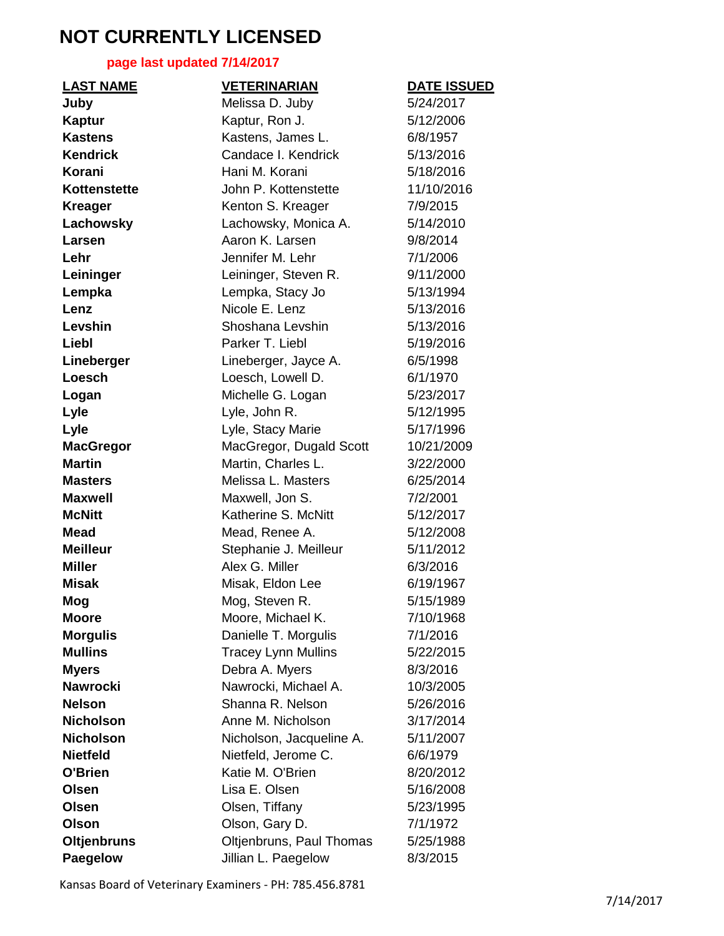### **page last updated 7/14/2017**

| <b>LAST NAME</b>   | <b>VETERINARIAN</b>        | <b>DATE ISSUED</b> |
|--------------------|----------------------------|--------------------|
| Juby               | Melissa D. Juby            | 5/24/2017          |
| <b>Kaptur</b>      | Kaptur, Ron J.             | 5/12/2006          |
| <b>Kastens</b>     | Kastens, James L.          | 6/8/1957           |
| <b>Kendrick</b>    | Candace I. Kendrick        | 5/13/2016          |
| Korani             | Hani M. Korani             | 5/18/2016          |
| Kottenstette       | John P. Kottenstette       | 11/10/2016         |
| <b>Kreager</b>     | Kenton S. Kreager          | 7/9/2015           |
| Lachowsky          | Lachowsky, Monica A.       | 5/14/2010          |
| Larsen             | Aaron K. Larsen            | 9/8/2014           |
| Lehr               | Jennifer M. Lehr           | 7/1/2006           |
| Leininger          | Leininger, Steven R.       | 9/11/2000          |
| Lempka             | Lempka, Stacy Jo           | 5/13/1994          |
| Lenz               | Nicole E. Lenz             | 5/13/2016          |
| Levshin            | Shoshana Levshin           | 5/13/2016          |
| Liebl              | Parker T. Liebl            | 5/19/2016          |
| Lineberger         | Lineberger, Jayce A.       | 6/5/1998           |
| Loesch             | Loesch, Lowell D.          | 6/1/1970           |
| Logan              | Michelle G. Logan          | 5/23/2017          |
| Lyle               | Lyle, John R.              | 5/12/1995          |
| Lyle               | Lyle, Stacy Marie          | 5/17/1996          |
| <b>MacGregor</b>   | MacGregor, Dugald Scott    | 10/21/2009         |
| <b>Martin</b>      | Martin, Charles L.         | 3/22/2000          |
| <b>Masters</b>     | Melissa L. Masters         | 6/25/2014          |
| <b>Maxwell</b>     | Maxwell, Jon S.            | 7/2/2001           |
| <b>McNitt</b>      | Katherine S. McNitt        | 5/12/2017          |
| <b>Mead</b>        | Mead, Renee A.             | 5/12/2008          |
| <b>Meilleur</b>    | Stephanie J. Meilleur      | 5/11/2012          |
| <b>Miller</b>      | Alex G. Miller             | 6/3/2016           |
| <b>Misak</b>       | Misak, Eldon Lee           | 6/19/1967          |
| Mog                | Mog, Steven R.             | 5/15/1989          |
| Moore              | Moore, Michael K.          | 7/10/1968          |
| <b>Morgulis</b>    | Danielle T. Morgulis       | 7/1/2016           |
| <b>Mullins</b>     | <b>Tracey Lynn Mullins</b> | 5/22/2015          |
| <b>Myers</b>       | Debra A. Myers             | 8/3/2016           |
| <b>Nawrocki</b>    | Nawrocki, Michael A.       | 10/3/2005          |
| <b>Nelson</b>      | Shanna R. Nelson           | 5/26/2016          |
| <b>Nicholson</b>   | Anne M. Nicholson          | 3/17/2014          |
| <b>Nicholson</b>   | Nicholson, Jacqueline A.   | 5/11/2007          |
| <b>Nietfeld</b>    | Nietfeld, Jerome C.        | 6/6/1979           |
| O'Brien            | Katie M. O'Brien           | 8/20/2012          |
| Olsen              | Lisa E. Olsen              | 5/16/2008          |
| Olsen              | Olsen, Tiffany             | 5/23/1995          |
| Olson              | Olson, Gary D.             | 7/1/1972           |
| <b>Oltjenbruns</b> | Oltjenbruns, Paul Thomas   | 5/25/1988          |
| Paegelow           | Jillian L. Paegelow        | 8/3/2015           |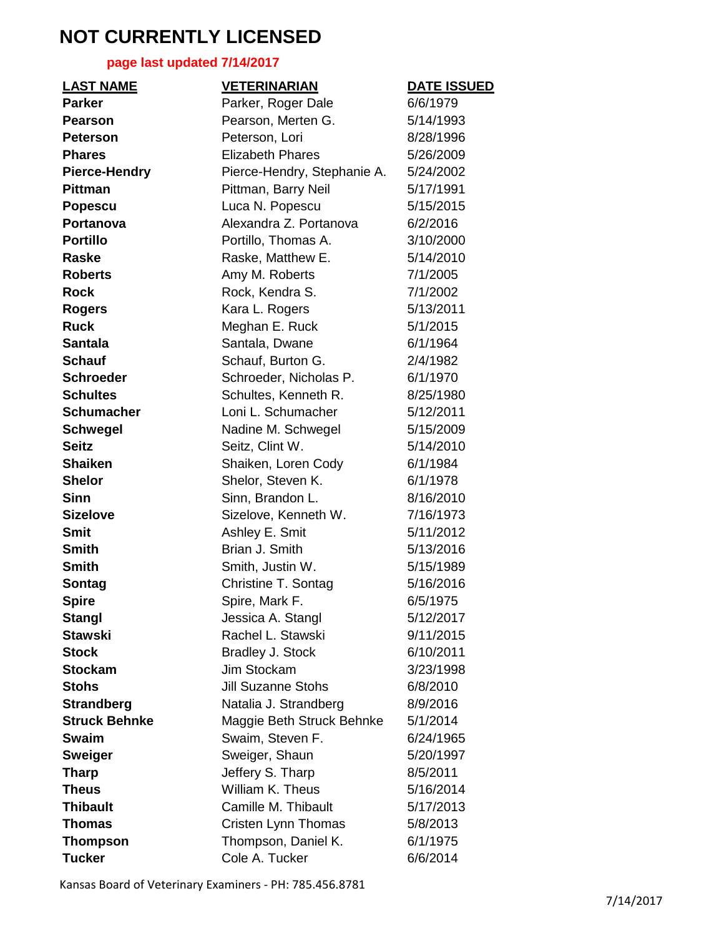### **page last updated 7/14/2017**

| <b>LAST NAME</b>     | <b>VETERINARIAN</b>         | <b>DATE ISSUED</b> |
|----------------------|-----------------------------|--------------------|
| <b>Parker</b>        | Parker, Roger Dale          | 6/6/1979           |
| <b>Pearson</b>       | Pearson, Merten G.          | 5/14/1993          |
| <b>Peterson</b>      | Peterson, Lori              | 8/28/1996          |
| <b>Phares</b>        | <b>Elizabeth Phares</b>     | 5/26/2009          |
| <b>Pierce-Hendry</b> | Pierce-Hendry, Stephanie A. | 5/24/2002          |
| <b>Pittman</b>       | Pittman, Barry Neil         | 5/17/1991          |
| <b>Popescu</b>       | Luca N. Popescu             | 5/15/2015          |
| Portanova            | Alexandra Z. Portanova      | 6/2/2016           |
| <b>Portillo</b>      | Portillo, Thomas A.         | 3/10/2000          |
| <b>Raske</b>         | Raske, Matthew E.           | 5/14/2010          |
| <b>Roberts</b>       | Amy M. Roberts              | 7/1/2005           |
| <b>Rock</b>          | Rock, Kendra S.             | 7/1/2002           |
| <b>Rogers</b>        | Kara L. Rogers              | 5/13/2011          |
| <b>Ruck</b>          | Meghan E. Ruck              | 5/1/2015           |
| <b>Santala</b>       | Santala, Dwane              | 6/1/1964           |
| <b>Schauf</b>        | Schauf, Burton G.           | 2/4/1982           |
| <b>Schroeder</b>     | Schroeder, Nicholas P.      | 6/1/1970           |
| <b>Schultes</b>      | Schultes, Kenneth R.        | 8/25/1980          |
| <b>Schumacher</b>    | Loni L. Schumacher          | 5/12/2011          |
| <b>Schwegel</b>      | Nadine M. Schwegel          | 5/15/2009          |
| <b>Seitz</b>         | Seitz, Clint W.             | 5/14/2010          |
| <b>Shaiken</b>       | Shaiken, Loren Cody         | 6/1/1984           |
| <b>Shelor</b>        | Shelor, Steven K.           | 6/1/1978           |
| <b>Sinn</b>          | Sinn, Brandon L.            | 8/16/2010          |
| <b>Sizelove</b>      | Sizelove, Kenneth W.        | 7/16/1973          |
| <b>Smit</b>          | Ashley E. Smit              | 5/11/2012          |
| <b>Smith</b>         | Brian J. Smith              | 5/13/2016          |
| <b>Smith</b>         | Smith, Justin W.            | 5/15/1989          |
| Sontag               | Christine T. Sontag         | 5/16/2016          |
| <b>Spire</b>         | Spire, Mark F.              | 6/5/1975           |
| <b>Stangl</b>        | Jessica A. Stangl           | 5/12/2017          |
| <b>Stawski</b>       | Rachel L. Stawski           | 9/11/2015          |
| <b>Stock</b>         | Bradley J. Stock            | 6/10/2011          |
| <b>Stockam</b>       | Jim Stockam                 | 3/23/1998          |
| <b>Stohs</b>         | <b>Jill Suzanne Stohs</b>   | 6/8/2010           |
| <b>Strandberg</b>    | Natalia J. Strandberg       | 8/9/2016           |
| <b>Struck Behnke</b> | Maggie Beth Struck Behnke   | 5/1/2014           |
| <b>Swaim</b>         | Swaim, Steven F.            | 6/24/1965          |
| <b>Sweiger</b>       | Sweiger, Shaun              | 5/20/1997          |
| <b>Tharp</b>         | Jeffery S. Tharp            | 8/5/2011           |
| <b>Theus</b>         | William K. Theus            | 5/16/2014          |
| <b>Thibault</b>      | Camille M. Thibault         | 5/17/2013          |
| <b>Thomas</b>        | Cristen Lynn Thomas         | 5/8/2013           |
| <b>Thompson</b>      | Thompson, Daniel K.         | 6/1/1975           |
| <b>Tucker</b>        | Cole A. Tucker              | 6/6/2014           |